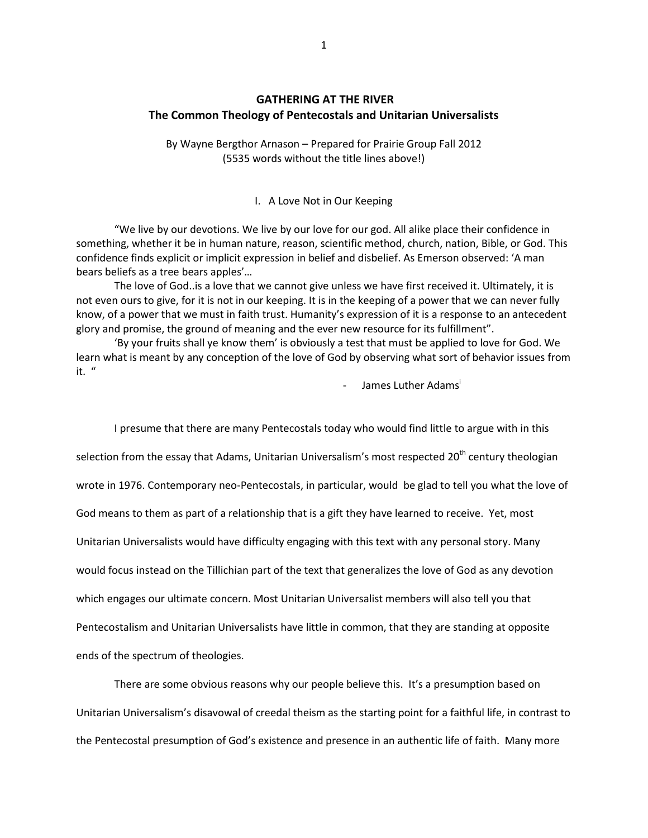# **GATHERING AT THE RIVER The Common Theology of Pentecostals and Unitarian Universalists**

By Wayne Bergthor Arnason – Prepared for Prairie Group Fall 2012 (5535 words without the title lines above!)

#### I. A Love Not in Our Keeping

"We live by our devotions. We live by our love for our god. All alike place their confidence in something, whether it be in human nature, reason, scientific method, church, nation, Bible, or God. This confidence finds explicit or implicit expression in belief and disbelief. As Emerson observed: 'A man bears beliefs as a tree bears apples'…

The love of God..is a love that we cannot give unless we have first received it. Ultimately, it is not even ours to give, for it is not in our keeping. It is in the keeping of a power that we can never fully know, of a power that we must in faith trust. Humanity's expression of it is a response to an antecedent glory and promise, the ground of meaning and the ever new resource for its fulfillment".

'By your fruits shall ye know them' is obviously a test that must be applied to love for God. We learn what is meant by any conception of the love of God by observing what sort of behavior issues from it. "

James Luther Adams<sup>i</sup>

I presume that there are many Pentecostals today who would find little to argue with in this selection from the essay that Adams, Unitarian Universalism's most respected 20<sup>th</sup> century theologian wrote in 1976. Contemporary neo-Pentecostals, in particular, would be glad to tell you what the love of God means to them as part of a relationship that is a gift they have learned to receive. Yet, most Unitarian Universalists would have difficulty engaging with this text with any personal story. Many would focus instead on the Tillichian part of the text that generalizes the love of God as any devotion which engages our ultimate concern. Most Unitarian Universalist members will also tell you that Pentecostalism and Unitarian Universalists have little in common, that they are standing at opposite ends of the spectrum of theologies.

There are some obvious reasons why our people believe this. It's a presumption based on Unitarian Universalism's disavowal of creedal theism as the starting point for a faithful life, in contrast to the Pentecostal presumption of God's existence and presence in an authentic life of faith. Many more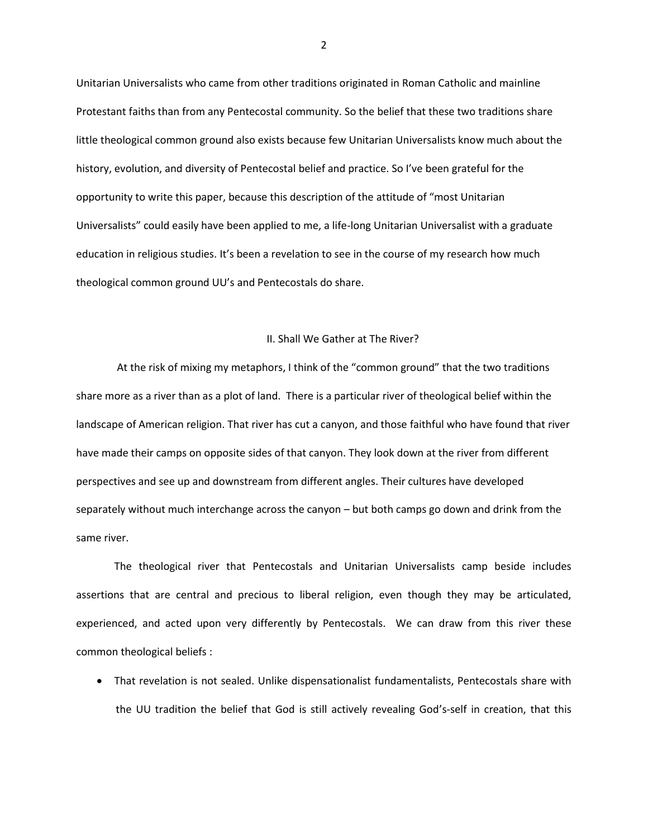Unitarian Universalists who came from other traditions originated in Roman Catholic and mainline Protestant faiths than from any Pentecostal community. So the belief that these two traditions share little theological common ground also exists because few Unitarian Universalists know much about the history, evolution, and diversity of Pentecostal belief and practice. So I've been grateful for the opportunity to write this paper, because this description of the attitude of "most Unitarian Universalists" could easily have been applied to me, a life-long Unitarian Universalist with a graduate education in religious studies. It's been a revelation to see in the course of my research how much theological common ground UU's and Pentecostals do share.

### II. Shall We Gather at The River?

At the risk of mixing my metaphors, I think of the "common ground" that the two traditions share more as a river than as a plot of land. There is a particular river of theological belief within the landscape of American religion. That river has cut a canyon, and those faithful who have found that river have made their camps on opposite sides of that canyon. They look down at the river from different perspectives and see up and downstream from different angles. Their cultures have developed separately without much interchange across the canyon – but both camps go down and drink from the same river.

The theological river that Pentecostals and Unitarian Universalists camp beside includes assertions that are central and precious to liberal religion, even though they may be articulated, experienced, and acted upon very differently by Pentecostals. We can draw from this river these common theological beliefs :

 That revelation is not sealed. Unlike dispensationalist fundamentalists, Pentecostals share with the UU tradition the belief that God is still actively revealing God's-self in creation, that this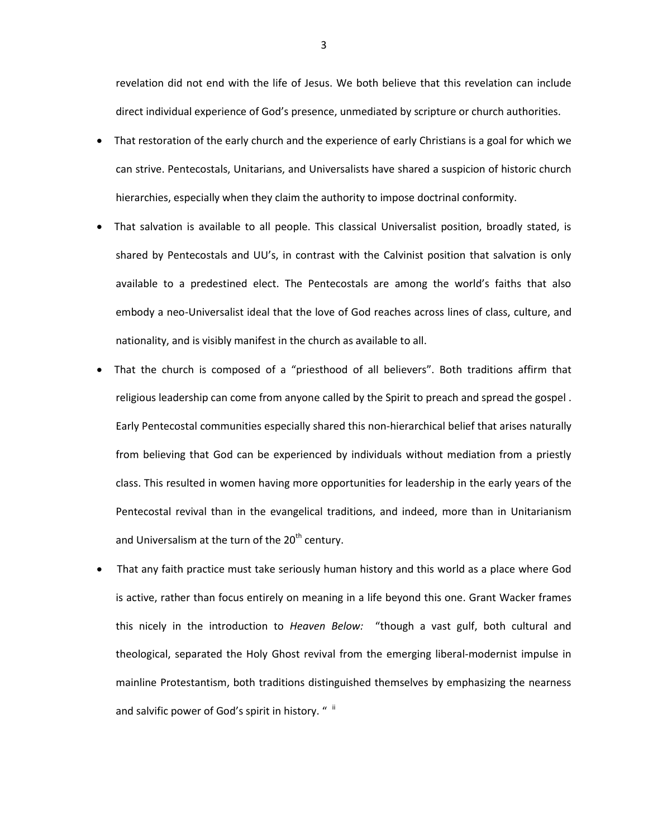revelation did not end with the life of Jesus. We both believe that this revelation can include direct individual experience of God's presence, unmediated by scripture or church authorities.

- That restoration of the early church and the experience of early Christians is a goal for which we can strive. Pentecostals, Unitarians, and Universalists have shared a suspicion of historic church hierarchies, especially when they claim the authority to impose doctrinal conformity.
- That salvation is available to all people. This classical Universalist position, broadly stated, is shared by Pentecostals and UU's, in contrast with the Calvinist position that salvation is only available to a predestined elect. The Pentecostals are among the world's faiths that also embody a neo-Universalist ideal that the love of God reaches across lines of class, culture, and nationality, and is visibly manifest in the church as available to all.
- That the church is composed of a "priesthood of all believers". Both traditions affirm that religious leadership can come from anyone called by the Spirit to preach and spread the gospel . Early Pentecostal communities especially shared this non-hierarchical belief that arises naturally from believing that God can be experienced by individuals without mediation from a priestly class. This resulted in women having more opportunities for leadership in the early years of the Pentecostal revival than in the evangelical traditions, and indeed, more than in Unitarianism and Universalism at the turn of the  $20<sup>th</sup>$  century.
- That any faith practice must take seriously human history and this world as a place where God is active, rather than focus entirely on meaning in a life beyond this one. Grant Wacker frames this nicely in the introduction to *Heaven Below:* "though a vast gulf, both cultural and theological, separated the Holy Ghost revival from the emerging liberal-modernist impulse in mainline Protestantism, both traditions distinguished themselves by emphasizing the nearness and salvific power of God's spirit in history. "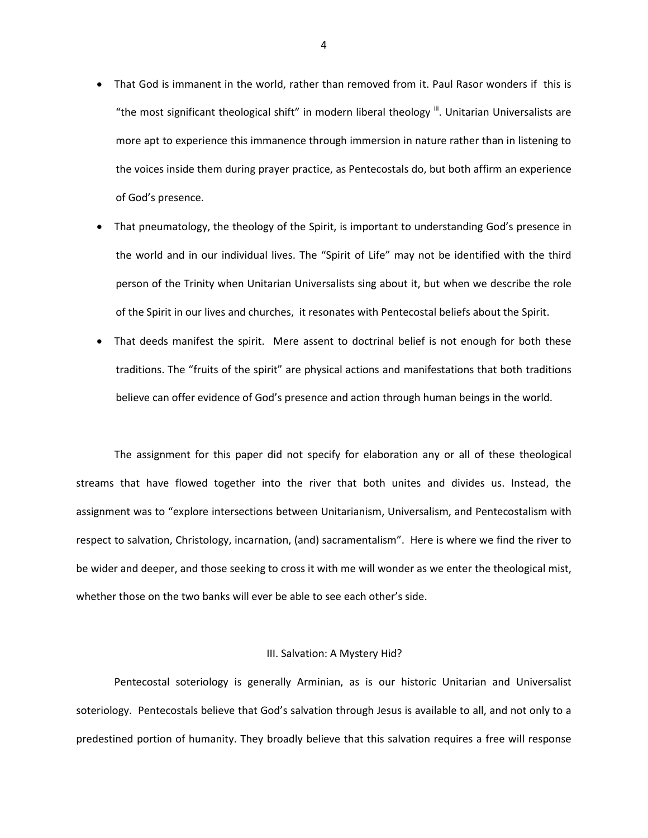- That God is immanent in the world, rather than removed from it. Paul Rasor wonders if this is "the most significant theological shift" in modern liberal theology ". Unitarian Universalists are more apt to experience this immanence through immersion in nature rather than in listening to the voices inside them during prayer practice, as Pentecostals do, but both affirm an experience of God's presence.
- That pneumatology, the theology of the Spirit, is important to understanding God's presence in the world and in our individual lives. The "Spirit of Life" may not be identified with the third person of the Trinity when Unitarian Universalists sing about it, but when we describe the role of the Spirit in our lives and churches, it resonates with Pentecostal beliefs about the Spirit.
- That deeds manifest the spirit. Mere assent to doctrinal belief is not enough for both these traditions. The "fruits of the spirit" are physical actions and manifestations that both traditions believe can offer evidence of God's presence and action through human beings in the world.

The assignment for this paper did not specify for elaboration any or all of these theological streams that have flowed together into the river that both unites and divides us. Instead, the assignment was to "explore intersections between Unitarianism, Universalism, and Pentecostalism with respect to salvation, Christology, incarnation, (and) sacramentalism". Here is where we find the river to be wider and deeper, and those seeking to cross it with me will wonder as we enter the theological mist, whether those on the two banks will ever be able to see each other's side.

#### III. Salvation: A Mystery Hid?

Pentecostal soteriology is generally Arminian, as is our historic Unitarian and Universalist soteriology. Pentecostals believe that God's salvation through Jesus is available to all, and not only to a predestined portion of humanity. They broadly believe that this salvation requires a free will response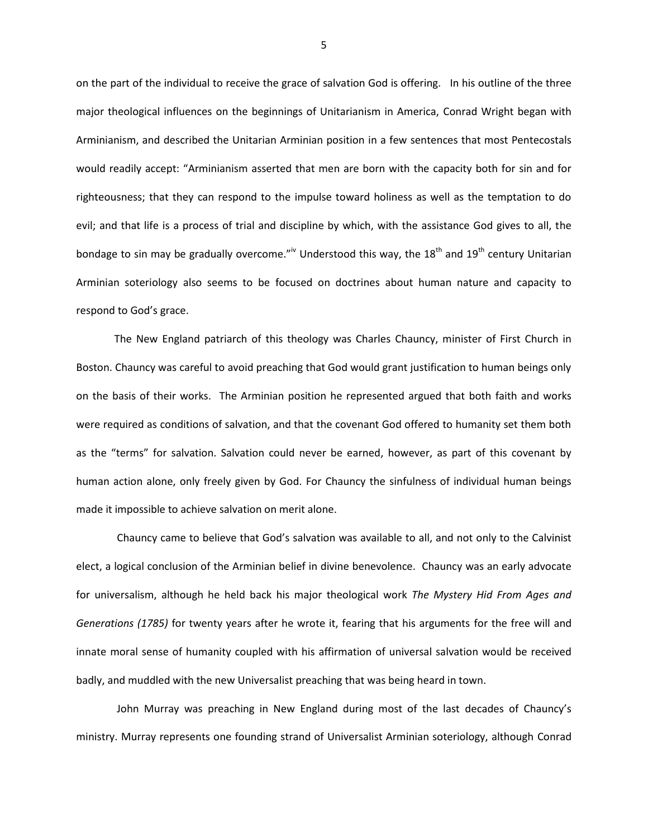on the part of the individual to receive the grace of salvation God is offering. In his outline of the three major theological influences on the beginnings of Unitarianism in America, Conrad Wright began with Arminianism, and described the Unitarian Arminian position in a few sentences that most Pentecostals would readily accept: "Arminianism asserted that men are born with the capacity both for sin and for righteousness; that they can respond to the impulse toward holiness as well as the temptation to do evil; and that life is a process of trial and discipline by which, with the assistance God gives to all, the bondage to sin may be gradually overcome."<sup>iv</sup> Understood this way, the 18<sup>th</sup> and 19<sup>th</sup> century Unitarian Arminian soteriology also seems to be focused on doctrines about human nature and capacity to respond to God's grace.

The New England patriarch of this theology was Charles Chauncy, minister of First Church in Boston. Chauncy was careful to avoid preaching that God would grant justification to human beings only on the basis of their works. The Arminian position he represented argued that both faith and works were required as conditions of salvation, and that the covenant God offered to humanity set them both as the "terms" for salvation. Salvation could never be earned, however, as part of this covenant by human action alone, only freely given by God. For Chauncy the sinfulness of individual human beings made it impossible to achieve salvation on merit alone.

Chauncy came to believe that God's salvation was available to all, and not only to the Calvinist elect, a logical conclusion of the Arminian belief in divine benevolence. Chauncy was an early advocate for universalism, although he held back his major theological work *The Mystery Hid From Ages and Generations (1785)* for twenty years after he wrote it, fearing that his arguments for the free will and innate moral sense of humanity coupled with his affirmation of universal salvation would be received badly, and muddled with the new Universalist preaching that was being heard in town.

John Murray was preaching in New England during most of the last decades of Chauncy's ministry. Murray represents one founding strand of Universalist Arminian soteriology, although Conrad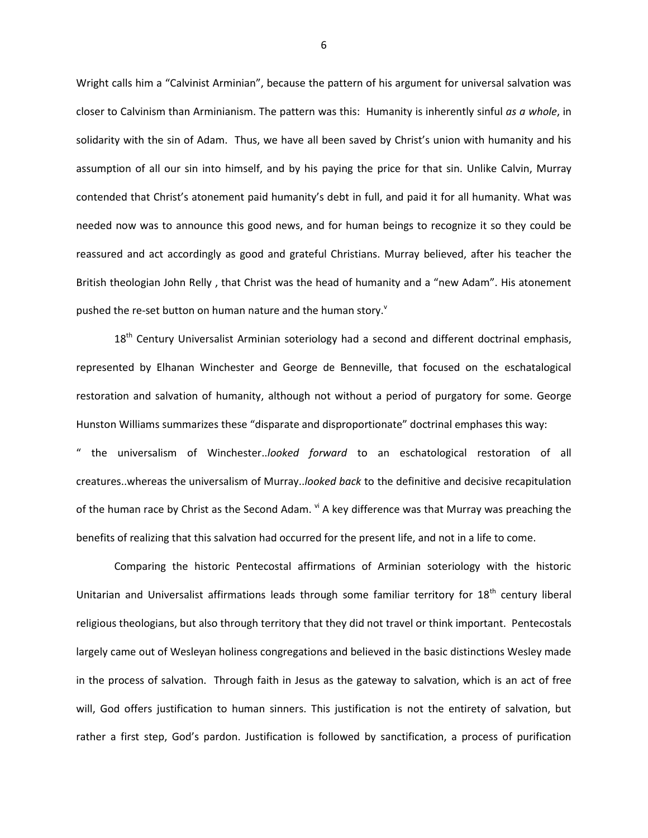Wright calls him a "Calvinist Arminian", because the pattern of his argument for universal salvation was closer to Calvinism than Arminianism. The pattern was this: Humanity is inherently sinful *as a whole*, in solidarity with the sin of Adam. Thus, we have all been saved by Christ's union with humanity and his assumption of all our sin into himself, and by his paying the price for that sin. Unlike Calvin, Murray contended that Christ's atonement paid humanity's debt in full, and paid it for all humanity. What was needed now was to announce this good news, and for human beings to recognize it so they could be reassured and act accordingly as good and grateful Christians. Murray believed, after his teacher the British theologian John Relly , that Christ was the head of humanity and a "new Adam". His atonement pushed the re-set button on human nature and the human story.<sup>v</sup>

18<sup>th</sup> Century Universalist Arminian soteriology had a second and different doctrinal emphasis, represented by Elhanan Winchester and George de Benneville, that focused on the eschatalogical restoration and salvation of humanity, although not without a period of purgatory for some. George Hunston Williams summarizes these "disparate and disproportionate" doctrinal emphases this way: " the universalism of Winchester..*looked forward* to an eschatological restoration of all creatures..whereas the universalism of Murray..*looked back* to the definitive and decisive recapitulation of the human race by Christ as the Second Adam. vi A key difference was that Murray was preaching the benefits of realizing that this salvation had occurred for the present life, and not in a life to come.

Comparing the historic Pentecostal affirmations of Arminian soteriology with the historic Unitarian and Universalist affirmations leads through some familiar territory for  $18<sup>th</sup>$  century liberal religious theologians, but also through territory that they did not travel or think important. Pentecostals largely came out of Wesleyan holiness congregations and believed in the basic distinctions Wesley made in the process of salvation. Through faith in Jesus as the gateway to salvation, which is an act of free will, God offers justification to human sinners. This justification is not the entirety of salvation, but rather a first step, God's pardon. Justification is followed by sanctification, a process of purification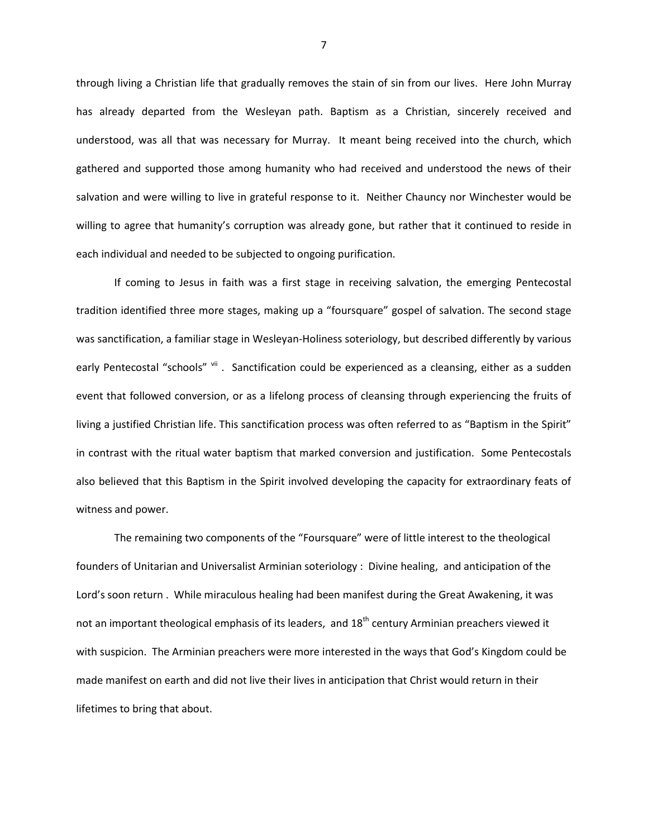through living a Christian life that gradually removes the stain of sin from our lives. Here John Murray has already departed from the Wesleyan path. Baptism as a Christian, sincerely received and understood, was all that was necessary for Murray. It meant being received into the church, which gathered and supported those among humanity who had received and understood the news of their salvation and were willing to live in grateful response to it. Neither Chauncy nor Winchester would be willing to agree that humanity's corruption was already gone, but rather that it continued to reside in each individual and needed to be subjected to ongoing purification.

If coming to Jesus in faith was a first stage in receiving salvation, the emerging Pentecostal tradition identified three more stages, making up a "foursquare" gospel of salvation. The second stage was sanctification, a familiar stage in Wesleyan-Holiness soteriology, but described differently by various early Pentecostal "schools" vii. Sanctification could be experienced as a cleansing, either as a sudden event that followed conversion, or as a lifelong process of cleansing through experiencing the fruits of living a justified Christian life. This sanctification process was often referred to as "Baptism in the Spirit" in contrast with the ritual water baptism that marked conversion and justification. Some Pentecostals also believed that this Baptism in the Spirit involved developing the capacity for extraordinary feats of witness and power.

The remaining two components of the "Foursquare" were of little interest to the theological founders of Unitarian and Universalist Arminian soteriology : Divine healing, and anticipation of the Lord's soon return . While miraculous healing had been manifest during the Great Awakening, it was not an important theological emphasis of its leaders, and 18<sup>th</sup> century Arminian preachers viewed it with suspicion. The Arminian preachers were more interested in the ways that God's Kingdom could be made manifest on earth and did not live their lives in anticipation that Christ would return in their lifetimes to bring that about.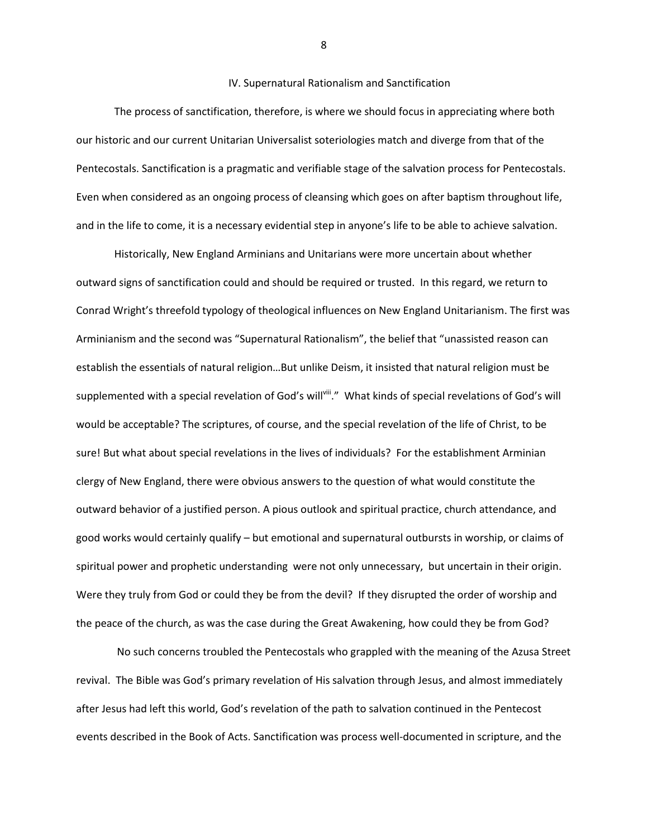### IV. Supernatural Rationalism and Sanctification

The process of sanctification, therefore, is where we should focus in appreciating where both our historic and our current Unitarian Universalist soteriologies match and diverge from that of the Pentecostals. Sanctification is a pragmatic and verifiable stage of the salvation process for Pentecostals. Even when considered as an ongoing process of cleansing which goes on after baptism throughout life, and in the life to come, it is a necessary evidential step in anyone's life to be able to achieve salvation.

Historically, New England Arminians and Unitarians were more uncertain about whether outward signs of sanctification could and should be required or trusted. In this regard, we return to Conrad Wright's threefold typology of theological influences on New England Unitarianism. The first was Arminianism and the second was "Supernatural Rationalism", the belief that "unassisted reason can establish the essentials of natural religion…But unlike Deism, it insisted that natural religion must be supplemented with a special revelation of God's will i." What kinds of special revelations of God's will would be acceptable? The scriptures, of course, and the special revelation of the life of Christ, to be sure! But what about special revelations in the lives of individuals? For the establishment Arminian clergy of New England, there were obvious answers to the question of what would constitute the outward behavior of a justified person. A pious outlook and spiritual practice, church attendance, and good works would certainly qualify – but emotional and supernatural outbursts in worship, or claims of spiritual power and prophetic understanding were not only unnecessary, but uncertain in their origin. Were they truly from God or could they be from the devil? If they disrupted the order of worship and the peace of the church, as was the case during the Great Awakening, how could they be from God?

No such concerns troubled the Pentecostals who grappled with the meaning of the Azusa Street revival. The Bible was God's primary revelation of His salvation through Jesus, and almost immediately after Jesus had left this world, God's revelation of the path to salvation continued in the Pentecost events described in the Book of Acts. Sanctification was process well-documented in scripture, and the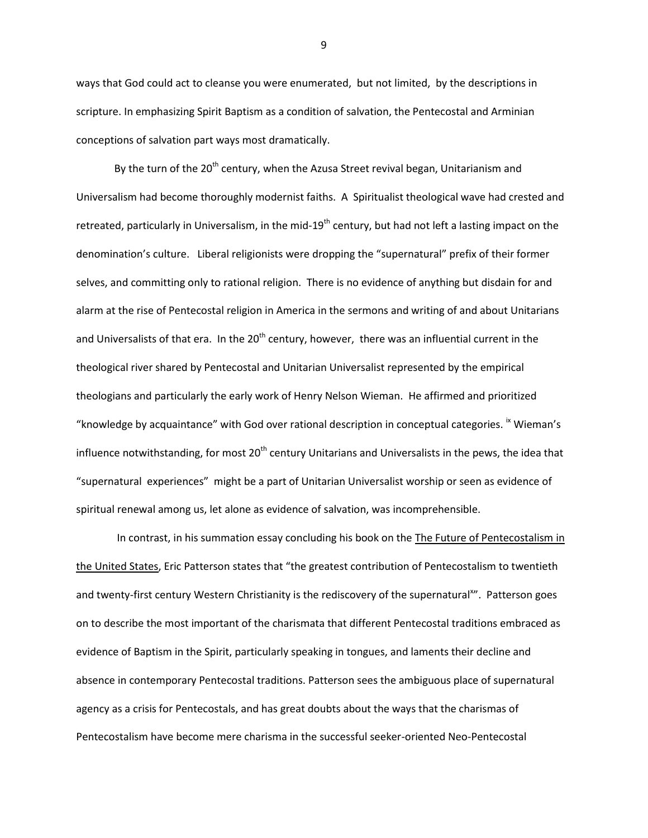ways that God could act to cleanse you were enumerated, but not limited, by the descriptions in scripture. In emphasizing Spirit Baptism as a condition of salvation, the Pentecostal and Arminian conceptions of salvation part ways most dramatically.

By the turn of the 20<sup>th</sup> century, when the Azusa Street revival began, Unitarianism and Universalism had become thoroughly modernist faiths. A Spiritualist theological wave had crested and retreated, particularly in Universalism, in the mid-19<sup>th</sup> century, but had not left a lasting impact on the denomination's culture. Liberal religionists were dropping the "supernatural" prefix of their former selves, and committing only to rational religion. There is no evidence of anything but disdain for and alarm at the rise of Pentecostal religion in America in the sermons and writing of and about Unitarians and Universalists of that era. In the  $20<sup>th</sup>$  century, however, there was an influential current in the theological river shared by Pentecostal and Unitarian Universalist represented by the empirical theologians and particularly the early work of Henry Nelson Wieman. He affirmed and prioritized "knowledge by acquaintance" with God over rational description in conceptual categories. <sup>ix</sup> Wieman's influence notwithstanding, for most  $20<sup>th</sup>$  century Unitarians and Universalists in the pews, the idea that "supernatural experiences" might be a part of Unitarian Universalist worship or seen as evidence of spiritual renewal among us, let alone as evidence of salvation, was incomprehensible.

In contrast, in his summation essay concluding his book on the The Future of Pentecostalism in the United States, Eric Patterson states that "the greatest contribution of Pentecostalism to twentieth and twenty-first century Western Christianity is the rediscovery of the supernatural<sup>x</sup>". Patterson goes on to describe the most important of the charismata that different Pentecostal traditions embraced as evidence of Baptism in the Spirit, particularly speaking in tongues, and laments their decline and absence in contemporary Pentecostal traditions. Patterson sees the ambiguous place of supernatural agency as a crisis for Pentecostals, and has great doubts about the ways that the charismas of Pentecostalism have become mere charisma in the successful seeker-oriented Neo-Pentecostal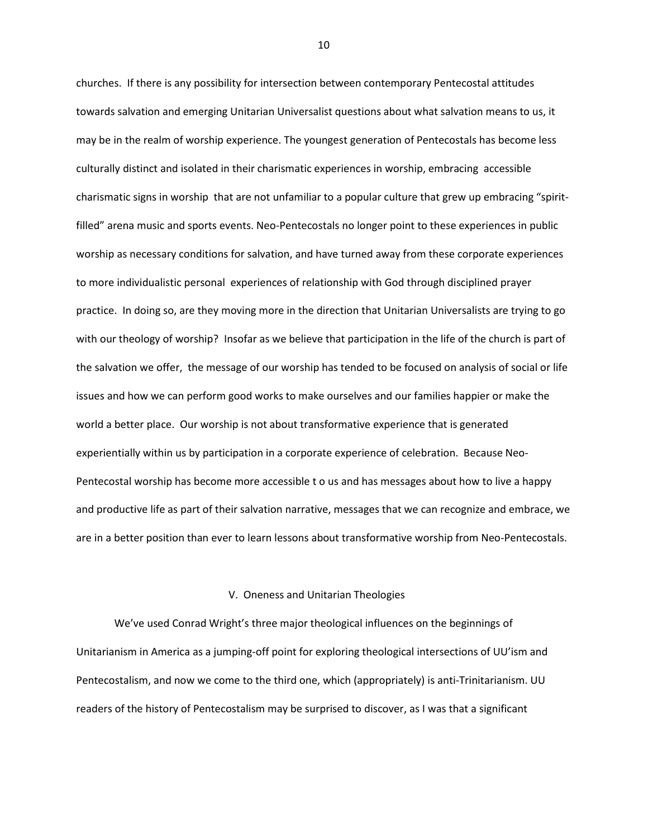churches. If there is any possibility for intersection between contemporary Pentecostal attitudes towards salvation and emerging Unitarian Universalist questions about what salvation means to us, it may be in the realm of worship experience. The youngest generation of Pentecostals has become less culturally distinct and isolated in their charismatic experiences in worship, embracing accessible charismatic signs in worship that are not unfamiliar to a popular culture that grew up embracing "spiritfilled" arena music and sports events. Neo-Pentecostals no longer point to these experiences in public worship as necessary conditions for salvation, and have turned away from these corporate experiences to more individualistic personal experiences of relationship with God through disciplined prayer practice. In doing so, are they moving more in the direction that Unitarian Universalists are trying to go with our theology of worship? Insofar as we believe that participation in the life of the church is part of the salvation we offer, the message of our worship has tended to be focused on analysis of social or life issues and how we can perform good works to make ourselves and our families happier or make the world a better place. Our worship is not about transformative experience that is generated experientially within us by participation in a corporate experience of celebration. Because Neo-Pentecostal worship has become more accessible t o us and has messages about how to live a happy and productive life as part of their salvation narrative, messages that we can recognize and embrace, we are in a better position than ever to learn lessons about transformative worship from Neo-Pentecostals.

#### V. Oneness and Unitarian Theologies

We've used Conrad Wright's three major theological influences on the beginnings of Unitarianism in America as a jumping-off point for exploring theological intersections of UU'ism and Pentecostalism, and now we come to the third one, which (appropriately) is anti-Trinitarianism. UU readers of the history of Pentecostalism may be surprised to discover, as I was that a significant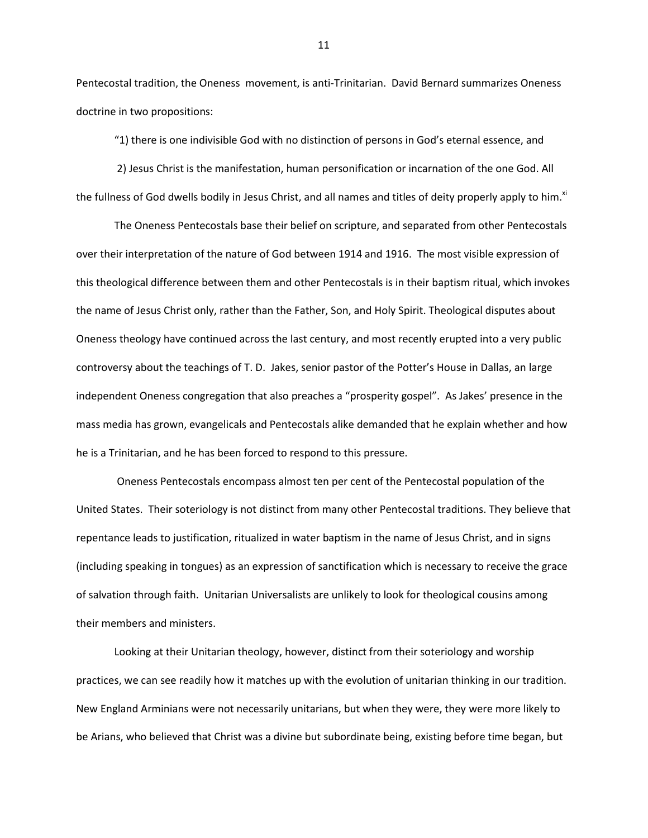Pentecostal tradition, the Oneness movement, is anti-Trinitarian. David Bernard summarizes Oneness doctrine in two propositions:

"1) there is one indivisible God with no distinction of persons in God's eternal essence, and

2) Jesus Christ is the manifestation, human personification or incarnation of the one God. All the fullness of God dwells bodily in Jesus Christ, and all names and titles of deity properly apply to him.<sup>xi</sup>

The Oneness Pentecostals base their belief on scripture, and separated from other Pentecostals over their interpretation of the nature of God between 1914 and 1916. The most visible expression of this theological difference between them and other Pentecostals is in their baptism ritual, which invokes the name of Jesus Christ only, rather than the Father, Son, and Holy Spirit. Theological disputes about Oneness theology have continued across the last century, and most recently erupted into a very public controversy about the teachings of T. D. Jakes, senior pastor of the Potter's House in Dallas, an large independent Oneness congregation that also preaches a "prosperity gospel". As Jakes' presence in the mass media has grown, evangelicals and Pentecostals alike demanded that he explain whether and how he is a Trinitarian, and he has been forced to respond to this pressure.

Oneness Pentecostals encompass almost ten per cent of the Pentecostal population of the United States. Their soteriology is not distinct from many other Pentecostal traditions. They believe that repentance leads to justification, ritualized in water baptism in the name of Jesus Christ, and in signs (including speaking in tongues) as an expression of sanctification which is necessary to receive the grace of salvation through faith. Unitarian Universalists are unlikely to look for theological cousins among their members and ministers.

Looking at their Unitarian theology, however, distinct from their soteriology and worship practices, we can see readily how it matches up with the evolution of unitarian thinking in our tradition. New England Arminians were not necessarily unitarians, but when they were, they were more likely to be Arians, who believed that Christ was a divine but subordinate being, existing before time began, but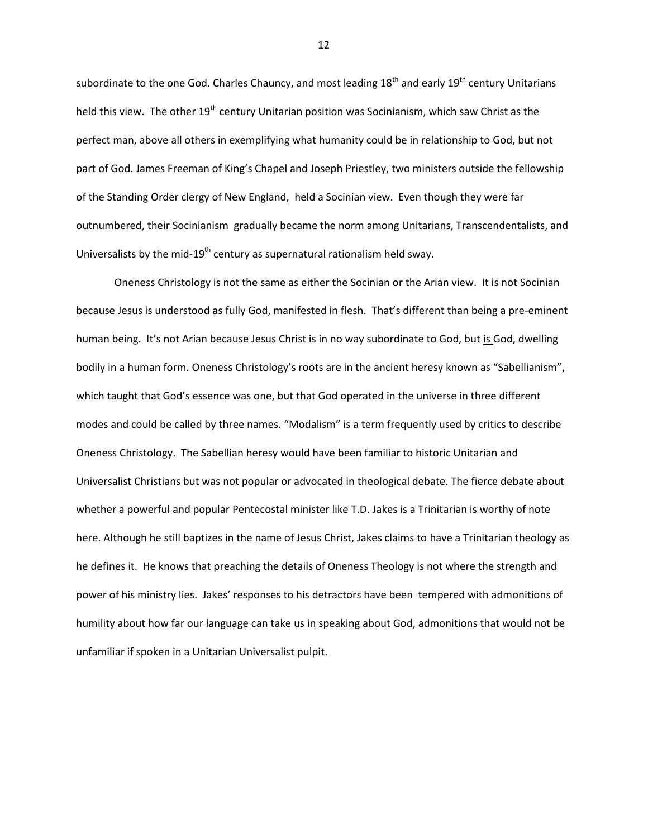subordinate to the one God. Charles Chauncy, and most leading 18<sup>th</sup> and early 19<sup>th</sup> century Unitarians held this view. The other 19<sup>th</sup> century Unitarian position was Socinianism, which saw Christ as the perfect man, above all others in exemplifying what humanity could be in relationship to God, but not part of God. James Freeman of King's Chapel and Joseph Priestley, two ministers outside the fellowship of the Standing Order clergy of New England, held a Socinian view. Even though they were far outnumbered, their Socinianism gradually became the norm among Unitarians, Transcendentalists, and Universalists by the mid-19<sup>th</sup> century as supernatural rationalism held sway.

Oneness Christology is not the same as either the Socinian or the Arian view. It is not Socinian because Jesus is understood as fully God, manifested in flesh. That's different than being a pre-eminent human being. It's not Arian because Jesus Christ is in no way subordinate to God, but is God, dwelling bodily in a human form. Oneness Christology's roots are in the ancient heresy known as "Sabellianism", which taught that God's essence was one, but that God operated in the universe in three different modes and could be called by three names. "Modalism" is a term frequently used by critics to describe Oneness Christology. The Sabellian heresy would have been familiar to historic Unitarian and Universalist Christians but was not popular or advocated in theological debate. The fierce debate about whether a powerful and popular Pentecostal minister like T.D. Jakes is a Trinitarian is worthy of note here. Although he still baptizes in the name of Jesus Christ, Jakes claims to have a Trinitarian theology as he defines it. He knows that preaching the details of Oneness Theology is not where the strength and power of his ministry lies. Jakes' responses to his detractors have been tempered with admonitions of humility about how far our language can take us in speaking about God, admonitions that would not be unfamiliar if spoken in a Unitarian Universalist pulpit.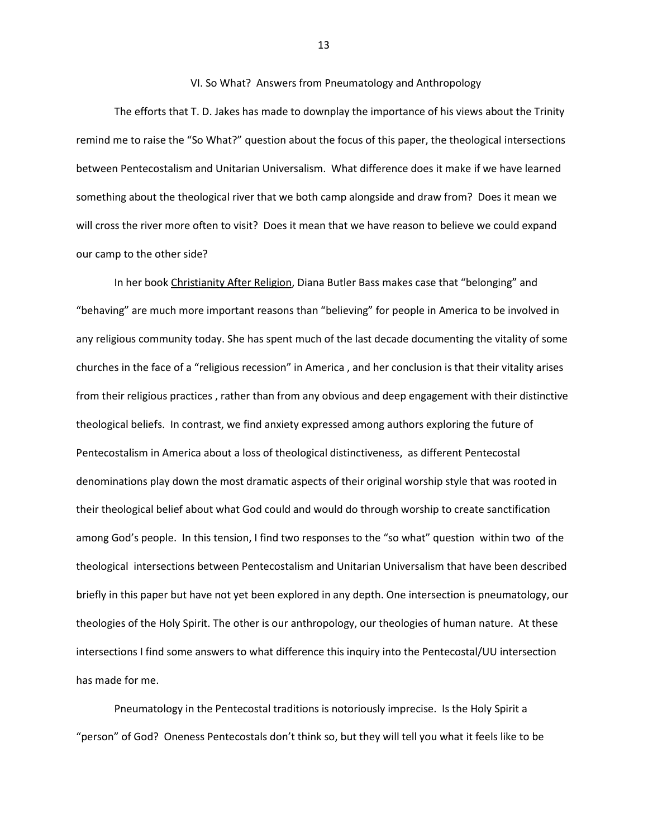### VI. So What? Answers from Pneumatology and Anthropology

The efforts that T. D. Jakes has made to downplay the importance of his views about the Trinity remind me to raise the "So What?" question about the focus of this paper, the theological intersections between Pentecostalism and Unitarian Universalism. What difference does it make if we have learned something about the theological river that we both camp alongside and draw from? Does it mean we will cross the river more often to visit? Does it mean that we have reason to believe we could expand our camp to the other side?

In her book Christianity After Religion, Diana Butler Bass makes case that "belonging" and "behaving" are much more important reasons than "believing" for people in America to be involved in any religious community today. She has spent much of the last decade documenting the vitality of some churches in the face of a "religious recession" in America , and her conclusion is that their vitality arises from their religious practices , rather than from any obvious and deep engagement with their distinctive theological beliefs. In contrast, we find anxiety expressed among authors exploring the future of Pentecostalism in America about a loss of theological distinctiveness, as different Pentecostal denominations play down the most dramatic aspects of their original worship style that was rooted in their theological belief about what God could and would do through worship to create sanctification among God's people. In this tension, I find two responses to the "so what" question within two of the theological intersections between Pentecostalism and Unitarian Universalism that have been described briefly in this paper but have not yet been explored in any depth. One intersection is pneumatology, our theologies of the Holy Spirit. The other is our anthropology, our theologies of human nature. At these intersections I find some answers to what difference this inquiry into the Pentecostal/UU intersection has made for me.

Pneumatology in the Pentecostal traditions is notoriously imprecise. Is the Holy Spirit a "person" of God? Oneness Pentecostals don't think so, but they will tell you what it feels like to be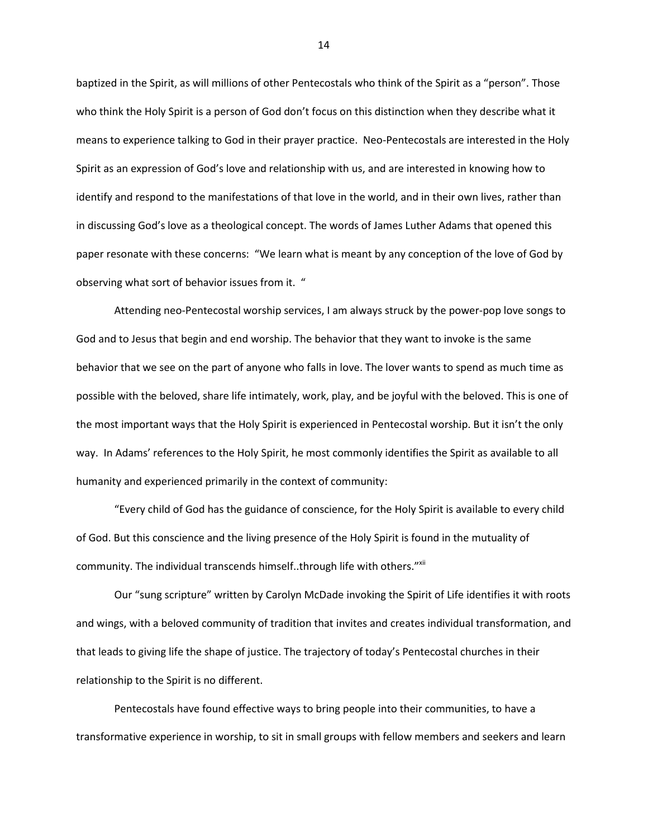baptized in the Spirit, as will millions of other Pentecostals who think of the Spirit as a "person". Those who think the Holy Spirit is a person of God don't focus on this distinction when they describe what it means to experience talking to God in their prayer practice. Neo-Pentecostals are interested in the Holy Spirit as an expression of God's love and relationship with us, and are interested in knowing how to identify and respond to the manifestations of that love in the world, and in their own lives, rather than in discussing God's love as a theological concept. The words of James Luther Adams that opened this paper resonate with these concerns: "We learn what is meant by any conception of the love of God by observing what sort of behavior issues from it. "

Attending neo-Pentecostal worship services, I am always struck by the power-pop love songs to God and to Jesus that begin and end worship. The behavior that they want to invoke is the same behavior that we see on the part of anyone who falls in love. The lover wants to spend as much time as possible with the beloved, share life intimately, work, play, and be joyful with the beloved. This is one of the most important ways that the Holy Spirit is experienced in Pentecostal worship. But it isn't the only way. In Adams' references to the Holy Spirit, he most commonly identifies the Spirit as available to all humanity and experienced primarily in the context of community:

"Every child of God has the guidance of conscience, for the Holy Spirit is available to every child of God. But this conscience and the living presence of the Holy Spirit is found in the mutuality of community. The individual transcends himself..through life with others."XII

Our "sung scripture" written by Carolyn McDade invoking the Spirit of Life identifies it with roots and wings, with a beloved community of tradition that invites and creates individual transformation, and that leads to giving life the shape of justice. The trajectory of today's Pentecostal churches in their relationship to the Spirit is no different.

Pentecostals have found effective ways to bring people into their communities, to have a transformative experience in worship, to sit in small groups with fellow members and seekers and learn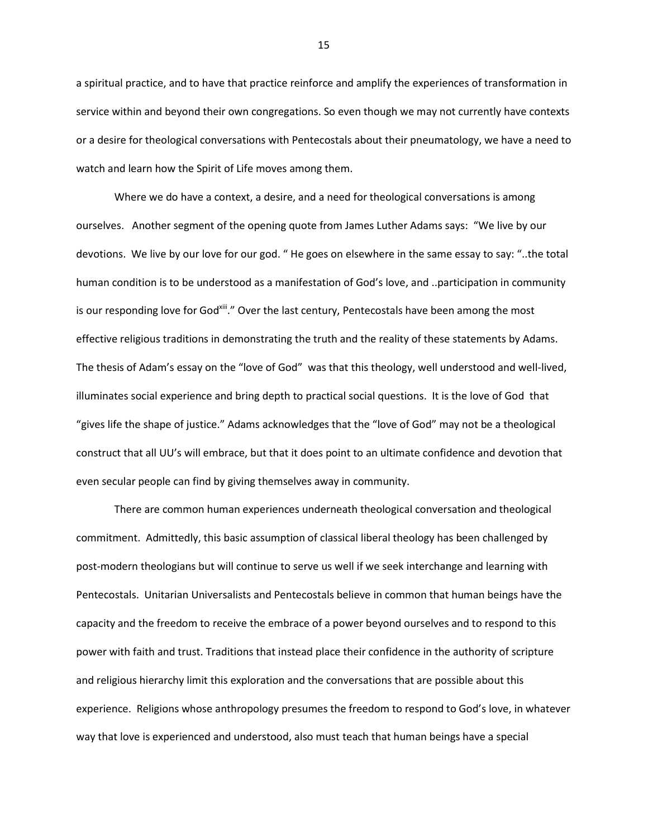a spiritual practice, and to have that practice reinforce and amplify the experiences of transformation in service within and beyond their own congregations. So even though we may not currently have contexts or a desire for theological conversations with Pentecostals about their pneumatology, we have a need to watch and learn how the Spirit of Life moves among them.

Where we do have a context, a desire, and a need for theological conversations is among ourselves. Another segment of the opening quote from James Luther Adams says: "We live by our devotions. We live by our love for our god. " He goes on elsewhere in the same essay to say: "..the total human condition is to be understood as a manifestation of God's love, and ..participation in community is our responding love for God<sup>xiii</sup>." Over the last century, Pentecostals have been among the most effective religious traditions in demonstrating the truth and the reality of these statements by Adams. The thesis of Adam's essay on the "love of God" was that this theology, well understood and well-lived, illuminates social experience and bring depth to practical social questions. It is the love of God that "gives life the shape of justice." Adams acknowledges that the "love of God" may not be a theological construct that all UU's will embrace, but that it does point to an ultimate confidence and devotion that even secular people can find by giving themselves away in community.

There are common human experiences underneath theological conversation and theological commitment. Admittedly, this basic assumption of classical liberal theology has been challenged by post-modern theologians but will continue to serve us well if we seek interchange and learning with Pentecostals. Unitarian Universalists and Pentecostals believe in common that human beings have the capacity and the freedom to receive the embrace of a power beyond ourselves and to respond to this power with faith and trust. Traditions that instead place their confidence in the authority of scripture and religious hierarchy limit this exploration and the conversations that are possible about this experience. Religions whose anthropology presumes the freedom to respond to God's love, in whatever way that love is experienced and understood, also must teach that human beings have a special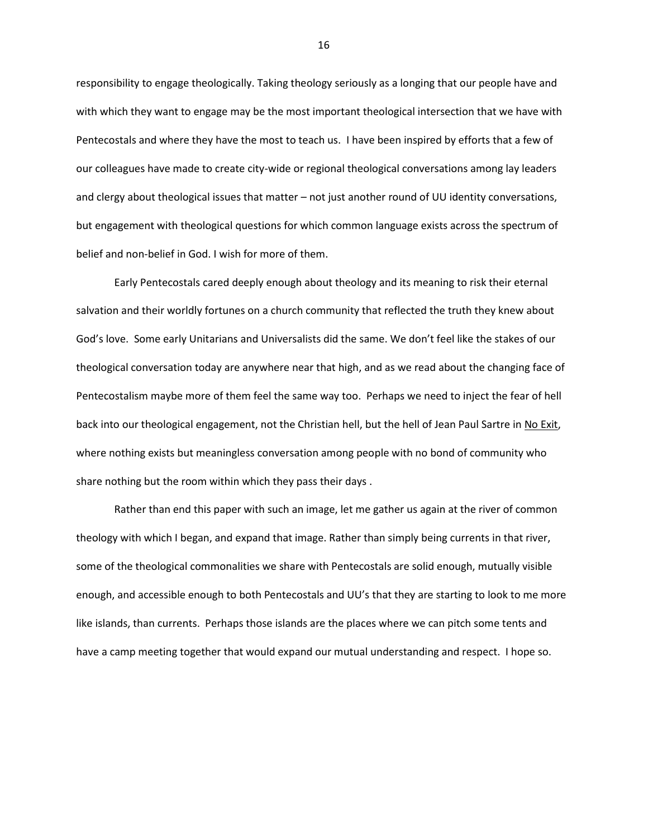responsibility to engage theologically. Taking theology seriously as a longing that our people have and with which they want to engage may be the most important theological intersection that we have with Pentecostals and where they have the most to teach us. I have been inspired by efforts that a few of our colleagues have made to create city-wide or regional theological conversations among lay leaders and clergy about theological issues that matter – not just another round of UU identity conversations, but engagement with theological questions for which common language exists across the spectrum of belief and non-belief in God. I wish for more of them.

Early Pentecostals cared deeply enough about theology and its meaning to risk their eternal salvation and their worldly fortunes on a church community that reflected the truth they knew about God's love. Some early Unitarians and Universalists did the same. We don't feel like the stakes of our theological conversation today are anywhere near that high, and as we read about the changing face of Pentecostalism maybe more of them feel the same way too. Perhaps we need to inject the fear of hell back into our theological engagement, not the Christian hell, but the hell of Jean Paul Sartre in No Exit, where nothing exists but meaningless conversation among people with no bond of community who share nothing but the room within which they pass their days .

Rather than end this paper with such an image, let me gather us again at the river of common theology with which I began, and expand that image. Rather than simply being currents in that river, some of the theological commonalities we share with Pentecostals are solid enough, mutually visible enough, and accessible enough to both Pentecostals and UU's that they are starting to look to me more like islands, than currents. Perhaps those islands are the places where we can pitch some tents and have a camp meeting together that would expand our mutual understanding and respect. I hope so.